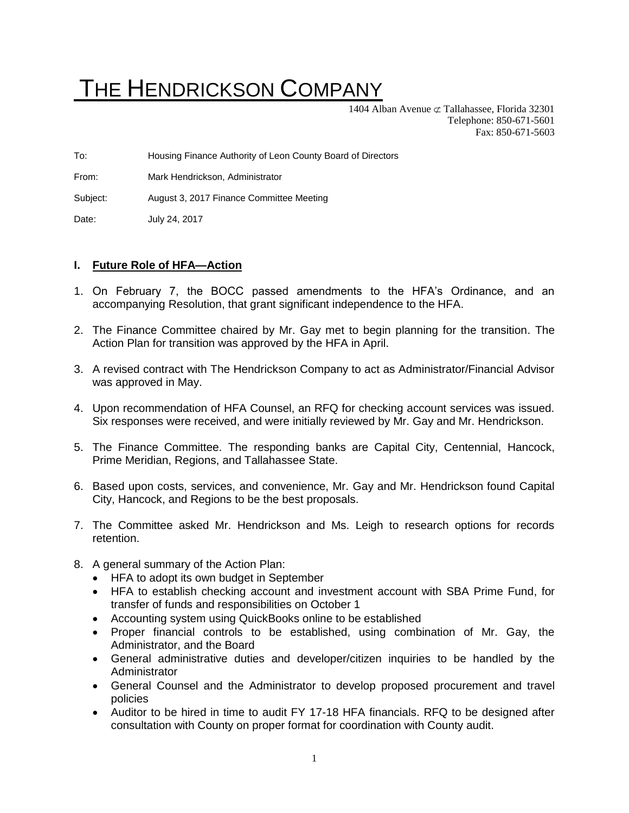## THE HENDRICKSON COMPANY

1404 Alban Avenue  $\subset \mathcal{I}$  Tallahassee, Florida 32301 Telephone: 850-671-5601 Fax: 850-671-5603

To: Housing Finance Authority of Leon County Board of Directors

From: Mark Hendrickson, Administrator

Subject: August 3, 2017 Finance Committee Meeting

Date: July 24, 2017

## **I. Future Role of HFA—Action**

- 1. On February 7, the BOCC passed amendments to the HFA's Ordinance, and an accompanying Resolution, that grant significant independence to the HFA.
- 2. The Finance Committee chaired by Mr. Gay met to begin planning for the transition. The Action Plan for transition was approved by the HFA in April.
- 3. A revised contract with The Hendrickson Company to act as Administrator/Financial Advisor was approved in May.
- 4. Upon recommendation of HFA Counsel, an RFQ for checking account services was issued. Six responses were received, and were initially reviewed by Mr. Gay and Mr. Hendrickson.
- 5. The Finance Committee. The responding banks are Capital City, Centennial, Hancock, Prime Meridian, Regions, and Tallahassee State.
- 6. Based upon costs, services, and convenience, Mr. Gay and Mr. Hendrickson found Capital City, Hancock, and Regions to be the best proposals.
- 7. The Committee asked Mr. Hendrickson and Ms. Leigh to research options for records retention.
- 8. A general summary of the Action Plan:
	- HFA to adopt its own budget in September
	- HFA to establish checking account and investment account with SBA Prime Fund, for transfer of funds and responsibilities on October 1
	- Accounting system using QuickBooks online to be established
	- Proper financial controls to be established, using combination of Mr. Gay, the Administrator, and the Board
	- General administrative duties and developer/citizen inquiries to be handled by the Administrator
	- General Counsel and the Administrator to develop proposed procurement and travel policies
	- Auditor to be hired in time to audit FY 17-18 HFA financials. RFQ to be designed after consultation with County on proper format for coordination with County audit.